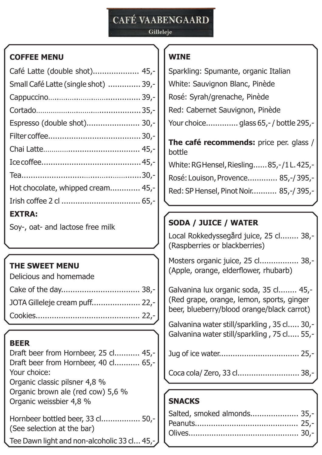# **CAFÉ VAABENGAARD**

#### Gilleleje

#### **COFFEE MENU**

| Café Latte (double shot) 45,-        |  |
|--------------------------------------|--|
| Small Café Latte (single shot)  39,- |  |
|                                      |  |
|                                      |  |
| Espresso (double shot) 30,-          |  |
|                                      |  |
|                                      |  |
|                                      |  |
|                                      |  |
| Hot chocolate, whipped cream 45,-    |  |
|                                      |  |
| <b>EXTRA:</b>                        |  |
| $CQ$ and not and lookeen from milk   |  |

Soy-, oat- and lactose free milk

#### **THE SWEET MENU**

| Delicious and homemade |  |
|------------------------|--|
|                        |  |
|                        |  |
|                        |  |

#### **BEER**

Draft beer from Hornbeer, 25 cl........... 45,- Draft beer from Hornbeer, 40 cl........... 65,- Your choice: Organic classic pilsner 4,8 % Organic brown ale (red cow) 5,6 % Organic weissbier 4,8 % Hornbeer bottled beer, 33 cl................. 50,- (See selection at the bar)

Tee Dawn light and non-alcoholic 33 cl... 45,

# **WINE**

| Sparkling: Spumante, organic Italian              |
|---------------------------------------------------|
| White: Sauvignon Blanc, Pinède                    |
| Rosé: Syrah/grenache, Pinède                      |
| Red: Cabernet Sauvignon, Pinède                   |
| Your choice glass 65,-/bottle 295,-               |
| The café recommends: price per. glass /<br>bottle |
| White: RG Hensel, Riesling 85,-/1L. 425,-         |
| Rosé: Louison, Provence 85,-/395,-                |
| Red: SP Hensel, Pinot Noir 85,-/395,              |
|                                                   |

# **SODA / JUICE / WATER**

Local Rokkedyssegård juice, 25 cl........ 38,- (Raspberries or blackberries)

Mosters organic juice, 25 cl................. 38,- (Apple, orange, elderflower, rhubarb)

Galvanina lux organic soda, 35 cl........ 45,- (Red grape, orange, lemon, sports, ginger beer, blueberry/blood orange/black carrot)

Galvanina water still/sparkling , 35 cl..... 30,- Galvanina water still/sparkling , 75 cl..... 55,-

Jug of ice water................................... 25,-

Coca cola/ Zero, 33 cl........................... 38,-

#### **SNACKS**

| Salted, smoked almonds 35,- |  |
|-----------------------------|--|
|                             |  |
|                             |  |